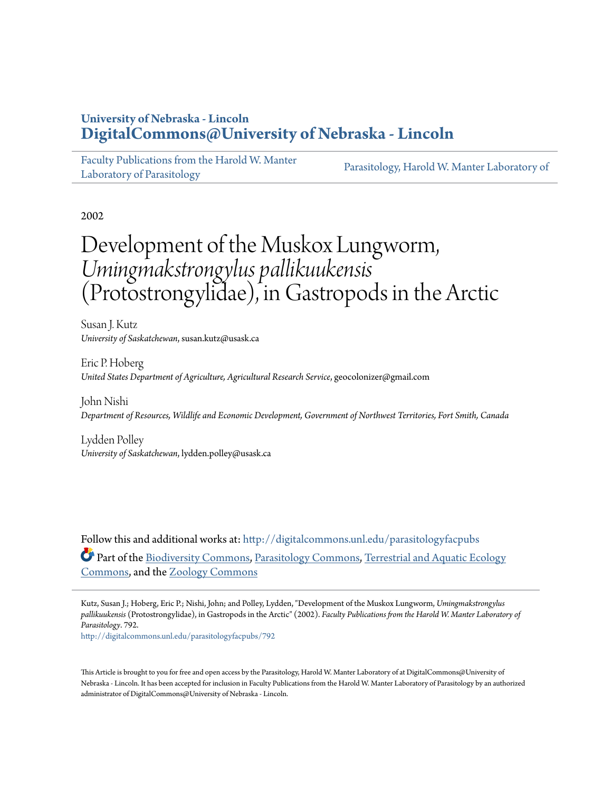## **University of Nebraska - Lincoln [DigitalCommons@University of Nebraska - Lincoln](http://digitalcommons.unl.edu?utm_source=digitalcommons.unl.edu%2Fparasitologyfacpubs%2F792&utm_medium=PDF&utm_campaign=PDFCoverPages)**

[Faculty Publications from the Harold W. Manter](http://digitalcommons.unl.edu/parasitologyfacpubs?utm_source=digitalcommons.unl.edu%2Fparasitologyfacpubs%2F792&utm_medium=PDF&utm_campaign=PDFCoverPages) [Laboratory of Parasitology](http://digitalcommons.unl.edu/parasitologyfacpubs?utm_source=digitalcommons.unl.edu%2Fparasitologyfacpubs%2F792&utm_medium=PDF&utm_campaign=PDFCoverPages)

[Parasitology, Harold W. Manter Laboratory of](http://digitalcommons.unl.edu/parasitology-manterlab?utm_source=digitalcommons.unl.edu%2Fparasitologyfacpubs%2F792&utm_medium=PDF&utm_campaign=PDFCoverPages)

2002

# Development of the Muskox Lungworm, *Umingmakstrongylus pallikuukensis* (Protostrongylidae), in Gastropods in the Arctic

Susan J. Kutz *University of Saskatchewan*, susan.kutz@usask.ca

Eric P. Hoberg *United States Department of Agriculture, Agricultural Research Service*, geocolonizer@gmail.com

John Nishi *Department of Resources, Wildlife and Economic Development, Government of Northwest Territories, Fort Smith, Canada*

Lydden Polley *University of Saskatchewan*, lydden.polley@usask.ca

Follow this and additional works at: [http://digitalcommons.unl.edu/parasitologyfacpubs](http://digitalcommons.unl.edu/parasitologyfacpubs?utm_source=digitalcommons.unl.edu%2Fparasitologyfacpubs%2F792&utm_medium=PDF&utm_campaign=PDFCoverPages) Part of the [Biodiversity Commons](http://network.bepress.com/hgg/discipline/1127?utm_source=digitalcommons.unl.edu%2Fparasitologyfacpubs%2F792&utm_medium=PDF&utm_campaign=PDFCoverPages), [Parasitology Commons](http://network.bepress.com/hgg/discipline/39?utm_source=digitalcommons.unl.edu%2Fparasitologyfacpubs%2F792&utm_medium=PDF&utm_campaign=PDFCoverPages), [Terrestrial and Aquatic Ecology](http://network.bepress.com/hgg/discipline/20?utm_source=digitalcommons.unl.edu%2Fparasitologyfacpubs%2F792&utm_medium=PDF&utm_campaign=PDFCoverPages) [Commons,](http://network.bepress.com/hgg/discipline/20?utm_source=digitalcommons.unl.edu%2Fparasitologyfacpubs%2F792&utm_medium=PDF&utm_campaign=PDFCoverPages) and the [Zoology Commons](http://network.bepress.com/hgg/discipline/81?utm_source=digitalcommons.unl.edu%2Fparasitologyfacpubs%2F792&utm_medium=PDF&utm_campaign=PDFCoverPages)

Kutz, Susan J.; Hoberg, Eric P.; Nishi, John; and Polley, Lydden, "Development of the Muskox Lungworm, *Umingmakstrongylus pallikuukensis* (Protostrongylidae), in Gastropods in the Arctic" (2002). *Faculty Publications from the Harold W. Manter Laboratory of Parasitology*. 792.

[http://digitalcommons.unl.edu/parasitologyfacpubs/792](http://digitalcommons.unl.edu/parasitologyfacpubs/792?utm_source=digitalcommons.unl.edu%2Fparasitologyfacpubs%2F792&utm_medium=PDF&utm_campaign=PDFCoverPages)

This Article is brought to you for free and open access by the Parasitology, Harold W. Manter Laboratory of at DigitalCommons@University of Nebraska - Lincoln. It has been accepted for inclusion in Faculty Publications from the Harold W. Manter Laboratory of Parasitology by an authorized administrator of DigitalCommons@University of Nebraska - Lincoln.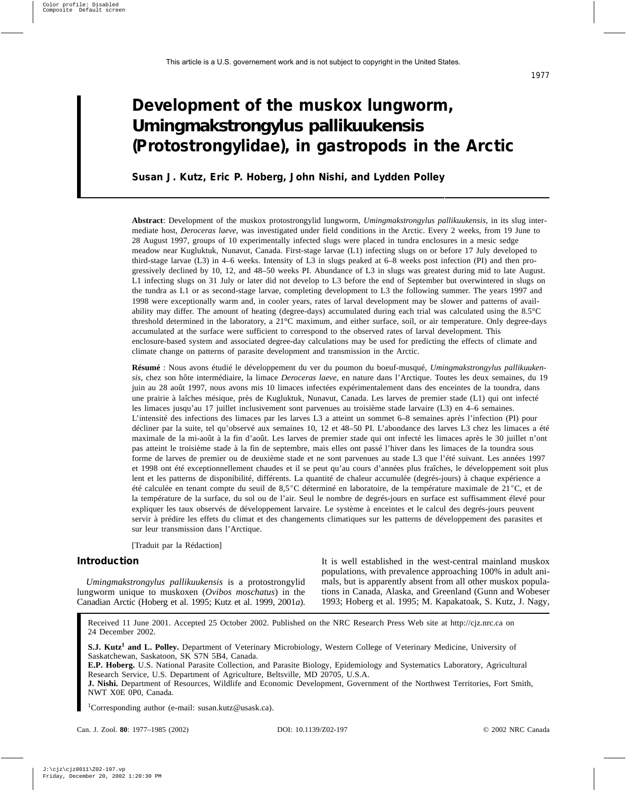## **Development of the muskox lungworm,** *Umingmakstrongylus pallikuukensis* **(Protostrongylidae), in gastropods in the Arctic**

**Susan J. Kutz, Eric P. Hoberg, John Nishi, and Lydden Polley**

**Abstract**: Development of the muskox protostrongylid lungworm, *Umingmakstrongylus pallikuukensis*, in its slug intermediate host, *Deroceras laeve*, was investigated under field conditions in the Arctic. Every 2 weeks, from 19 June to 28 August 1997, groups of 10 experimentally infected slugs were placed in tundra enclosures in a mesic sedge meadow near Kugluktuk, Nunavut, Canada. First-stage larvae (L1) infecting slugs on or before 17 July developed to third-stage larvae (L3) in 4–6 weeks. Intensity of L3 in slugs peaked at 6–8 weeks post infection (PI) and then progressively declined by 10, 12, and 48–50 weeks PI. Abundance of L3 in slugs was greatest during mid to late August. L1 infecting slugs on 31 July or later did not develop to L3 before the end of September but overwintered in slugs on the tundra as L1 or as second-stage larvae, completing development to L3 the following summer. The years 1997 and 1998 were exceptionally warm and, in cooler years, rates of larval development may be slower and patterns of availability may differ. The amount of heating (degree-days) accumulated during each trial was calculated using the 8.5°C threshold determined in the laboratory, a 21°C maximum, and either surface, soil, or air temperature. Only degree-days accumulated at the surface were sufficient to correspond to the observed rates of larval development. This enclosure-based system and associated degree-day calculations may be used for predicting the effects of climate and climate change on patterns of parasite development and transmission in the Arctic.

**Résumé** : Nous avons étudié le développement du ver du poumon du boeuf-musqué, *Umingmakstrongylus pallikuukensis*, chez son hôte intermédiaire, la limace *Deroceras laeve,* en nature dans l'Arctique. Toutes les deux semaines, du 19 juin au 28 août 1997, nous avons mis 10 limaces infectées expérimentalement dans des enceintes de la toundra, dans une prairie à laîches mésique, près de Kugluktuk, Nunavut, Canada. Les larves de premier stade (L1) qui ont infecté les limaces jusqu'au 17 juillet inclusivement sont parvenues au troisième stade larvaire (L3) en 4–6 semaines. L'intensité des infections des limaces par les larves L3 a atteint un sommet 6–8 semaines après l'infection (PI) pour décliner par la suite, tel qu'observé aux semaines 10, 12 et 48–50 PI. L'abondance des larves L3 chez les limaces a été maximale de la mi-août à la fin d'août. Les larves de premier stade qui ont infecté les limaces après le 30 juillet n'ont pas atteint le troisième stade à la fin de septembre, mais elles ont passé l'hiver dans les limaces de la toundra sous forme de larves de premier ou de deuxième stade et ne sont parvenues au stade L3 que l'été suivant. Les années 1997 et 1998 ont été exceptionnellement chaudes et il se peut qu'au cours d'années plus fraîches, le développement soit plus lent et les patterns de disponibilité, différents. La quantité de chaleur accumulée (degrés-jours) à chaque expérience a été calculée en tenant compte du seuil de 8,5 °C déterminé en laboratoire, de la température maximale de 21 °C, et de la température de la surface, du sol ou de l'air. Seul le nombre de degrés-jours en surface est suffisamment élevé pour expliquer les taux observés de développement larvaire. Le système à enceintes et le calcul des degrés-jours peuvent servir à prédire les effets du climat et des changements climatiques sur les patterns de développement des parasites et sur leur transmission dans l'Arctique.

[Traduit par la Rédaction]

### **Introduction**

*Umingmakstrongylus pallikuukensis* is a protostrongylid lungworm unique to muskoxen (*Ovibos moschatus*) in the Canadian Arctic (Hoberg et al. 1995; Kutz et al. 1999, 2001*a*). It is well established in the west-central mainland muskox populations, with prevalence approaching 100% in adult animals, but is apparently absent from all other muskox populations in Canada, Alaska, and Greenland (Gunn and Wobeser 1993; Hoberg et al. 1995; M. Kapakatoak, S. Kutz, J. Nagy,

Received 11 June 2001. Accepted 25 October 2002. Published on the NRC Research Press Web site at http://cjz.nrc.ca on 24 December 2002.

**S.J. Kutz<sup>1</sup> and L. Polley.** Department of Veterinary Microbiology, Western College of Veterinary Medicine, University of Saskatchewan, Saskatoon, SK S7N 5B4, Canada.

**E.P. Hoberg.** U.S. National Parasite Collection, and Parasite Biology, Epidemiology and Systematics Laboratory, Agricultural Research Service, U.S. Department of Agriculture, Beltsville, MD 20705, U.S.A.

**J. Nishi.** Department of Resources, Wildlife and Economic Development, Government of the Northwest Territories, Fort Smith, NWT X0E 0P0, Canada.

1 Corresponding author (e-mail: susan.kutz@usask.ca).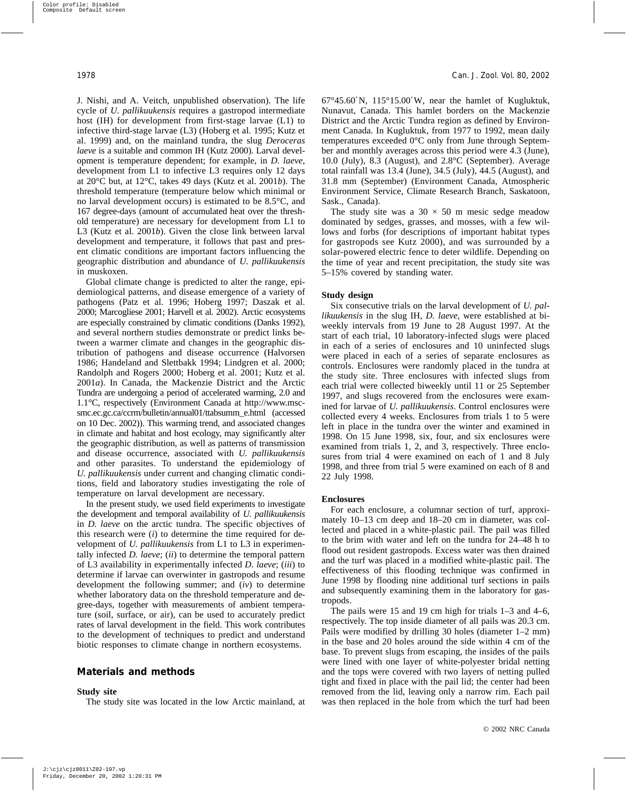J. Nishi, and A. Veitch, unpublished observation). The life cycle of *U. pallikuukensis* requires a gastropod intermediate host (IH) for development from first-stage larvae (L1) to infective third-stage larvae (L3) (Hoberg et al. 1995; Kutz et al. 1999) and, on the mainland tundra, the slug *Deroceras laeve* is a suitable and common IH (Kutz 2000). Larval development is temperature dependent; for example, in *D. laeve*, development from L1 to infective L3 requires only 12 days at 20°C but, at 12°C, takes 49 days (Kutz et al. 2001*b*). The threshold temperature (temperature below which minimal or no larval development occurs) is estimated to be 8.5°C, and 167 degree-days (amount of accumulated heat over the threshold temperature) are necessary for development from L1 to L3 (Kutz et al. 2001*b*). Given the close link between larval development and temperature, it follows that past and present climatic conditions are important factors influencing the geographic distribution and abundance of *U. pallikuukensis* in muskoxen.

Global climate change is predicted to alter the range, epidemiological patterns, and disease emergence of a variety of pathogens (Patz et al. 1996; Hoberg 1997; Daszak et al. 2000; Marcogliese 2001; Harvell et al. 2002). Arctic ecosystems are especially constrained by climatic conditions (Danks 1992), and several northern studies demonstrate or predict links between a warmer climate and changes in the geographic distribution of pathogens and disease occurrence (Halvorsen 1986; Handeland and Slettbakk 1994; Lindgren et al. 2000; Randolph and Rogers 2000; Hoberg et al. 2001; Kutz et al. 2001*a*). In Canada, the Mackenzie District and the Arctic Tundra are undergoing a period of accelerated warming, 2.0 and 1.1°C, respectively (Environment Canada at http://www.mscsmc.ec.gc.ca/ccrm/bulletin/annual01/ttabsumm\_e.html (accessed on 10 Dec. 2002)). This warming trend, and associated changes in climate and habitat and host ecology, may significantly alter the geographic distribution, as well as patterns of transmission and disease occurrence, associated with *U. pallikuukensis* and other parasites. To understand the epidemiology of *U. pallikuukensis* under current and changing climatic conditions, field and laboratory studies investigating the role of temperature on larval development are necessary.

In the present study, we used field experiments to investigate the development and temporal availability of *U. pallikuukensis* in *D. laeve* on the arctic tundra. The specific objectives of this research were  $(i)$  to determine the time required for development of *U. pallikuukensis* from L1 to L3 in experimentally infected *D. laeve*; (*ii*) to determine the temporal pattern of L3 availability in experimentally infected *D. laeve*; (*iii*) to determine if larvae can overwinter in gastropods and resume development the following summer; and (*iv*) to determine whether laboratory data on the threshold temperature and degree-days, together with measurements of ambient temperature (soil, surface, or air), can be used to accurately predict rates of larval development in the field. This work contributes to the development of techniques to predict and understand biotic responses to climate change in northern ecosystems.

#### **Materials and methods**

#### **Study site**

The study site was located in the low Arctic mainland, at

67°45.60′N, 115°15.00′W, near the hamlet of Kugluktuk, Nunavut, Canada. This hamlet borders on the Mackenzie District and the Arctic Tundra region as defined by Environment Canada. In Kugluktuk, from 1977 to 1992, mean daily temperatures exceeded 0°C only from June through September and monthly averages across this period were 4.3 (June), 10.0 (July), 8.3 (August), and 2.8°C (September). Average total rainfall was 13.4 (June), 34.5 (July), 44.5 (August), and 31.8 mm (September) (Environment Canada, Atmospheric Environment Service, Climate Research Branch, Saskatoon, Sask., Canada).

The study site was a  $30 \times 50$  m mesic sedge meadow dominated by sedges, grasses, and mosses, with a few willows and forbs (for descriptions of important habitat types for gastropods see Kutz 2000), and was surrounded by a solar-powered electric fence to deter wildlife. Depending on the time of year and recent precipitation, the study site was 5–15% covered by standing water.

#### **Study design**

Six consecutive trials on the larval development of *U. pallikuukensis* in the slug IH, *D. laeve*, were established at biweekly intervals from 19 June to 28 August 1997. At the start of each trial, 10 laboratory-infected slugs were placed in each of a series of enclosures and 10 uninfected slugs were placed in each of a series of separate enclosures as controls. Enclosures were randomly placed in the tundra at the study site. Three enclosures with infected slugs from each trial were collected biweekly until 11 or 25 September 1997, and slugs recovered from the enclosures were examined for larvae of *U. pallikuukensis*. Control enclosures were collected every 4 weeks. Enclosures from trials 1 to 5 were left in place in the tundra over the winter and examined in 1998. On 15 June 1998, six, four, and six enclosures were examined from trials 1, 2, and 3, respectively. Three enclosures from trial 4 were examined on each of 1 and 8 July 1998, and three from trial 5 were examined on each of 8 and 22 July 1998.

#### **Enclosures**

For each enclosure, a columnar section of turf, approximately 10–13 cm deep and 18–20 cm in diameter, was collected and placed in a white-plastic pail. The pail was filled to the brim with water and left on the tundra for 24–48 h to flood out resident gastropods. Excess water was then drained and the turf was placed in a modified white-plastic pail. The effectiveness of this flooding technique was confirmed in June 1998 by flooding nine additional turf sections in pails and subsequently examining them in the laboratory for gastropods.

The pails were 15 and 19 cm high for trials 1–3 and 4–6, respectively. The top inside diameter of all pails was 20.3 cm. Pails were modified by drilling 30 holes (diameter 1–2 mm) in the base and 20 holes around the side within 4 cm of the base. To prevent slugs from escaping, the insides of the pails were lined with one layer of white-polyester bridal netting and the tops were covered with two layers of netting pulled tight and fixed in place with the pail lid; the center had been removed from the lid, leaving only a narrow rim. Each pail was then replaced in the hole from which the turf had been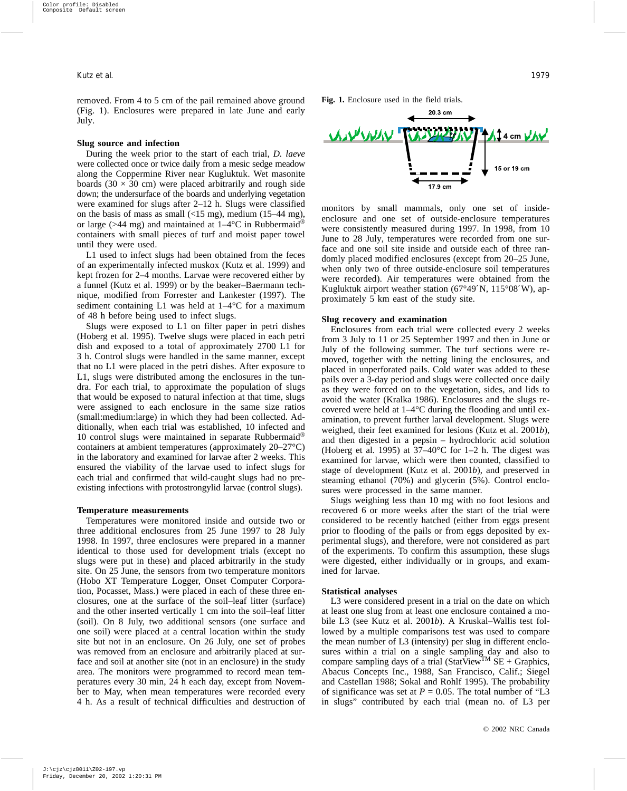removed. From 4 to 5 cm of the pail remained above ground (Fig. 1). Enclosures were prepared in late June and early July.

#### **Slug source and infection**

During the week prior to the start of each trial, *D. laeve* were collected once or twice daily from a mesic sedge meadow along the Coppermine River near Kugluktuk. Wet masonite boards (30  $\times$  30 cm) were placed arbitrarily and rough side down; the undersurface of the boards and underlying vegetation were examined for slugs after 2–12 h. Slugs were classified on the basis of mass as small  $\left($ <15 mg), medium (15–44 mg), or large (>44 mg) and maintained at  $1-4$ °C in Rubbermaid<sup>®</sup> containers with small pieces of turf and moist paper towel until they were used.

L1 used to infect slugs had been obtained from the feces of an experimentally infected muskox (Kutz et al. 1999) and kept frozen for 2–4 months. Larvae were recovered either by a funnel (Kutz et al. 1999) or by the beaker–Baermann technique, modified from Forrester and Lankester (1997). The sediment containing L1 was held at  $1-4$ °C for a maximum of 48 h before being used to infect slugs.

Slugs were exposed to L1 on filter paper in petri dishes (Hoberg et al. 1995). Twelve slugs were placed in each petri dish and exposed to a total of approximately 2700 L1 for 3 h. Control slugs were handled in the same manner, except that no L1 were placed in the petri dishes. After exposure to L1, slugs were distributed among the enclosures in the tundra. For each trial, to approximate the population of slugs that would be exposed to natural infection at that time, slugs were assigned to each enclosure in the same size ratios (small:medium:large) in which they had been collected. Additionally, when each trial was established, 10 infected and 10 control slugs were maintained in separate Rubbermaid® containers at ambient temperatures (approximately 20–27°C) in the laboratory and examined for larvae after 2 weeks. This ensured the viability of the larvae used to infect slugs for each trial and confirmed that wild-caught slugs had no preexisting infections with protostrongylid larvae (control slugs).

#### **Temperature measurements**

Temperatures were monitored inside and outside two or three additional enclosures from 25 June 1997 to 28 July 1998. In 1997, three enclosures were prepared in a manner identical to those used for development trials (except no slugs were put in these) and placed arbitrarily in the study site. On 25 June, the sensors from two temperature monitors (Hobo XT Temperature Logger, Onset Computer Corporation, Pocasset, Mass.) were placed in each of these three enclosures, one at the surface of the soil–leaf litter (surface) and the other inserted vertically 1 cm into the soil–leaf litter (soil). On 8 July, two additional sensors (one surface and one soil) were placed at a central location within the study site but not in an enclosure. On 26 July, one set of probes was removed from an enclosure and arbitrarily placed at surface and soil at another site (not in an enclosure) in the study area. The monitors were programmed to record mean temperatures every 30 min, 24 h each day, except from November to May, when mean temperatures were recorded every 4 h. As a result of technical difficulties and destruction of **Fig. 1.** Enclosure used in the field trials.



monitors by small mammals, only one set of insideenclosure and one set of outside-enclosure temperatures were consistently measured during 1997. In 1998, from 10 June to 28 July, temperatures were recorded from one surface and one soil site inside and outside each of three randomly placed modified enclosures (except from 20–25 June, when only two of three outside-enclosure soil temperatures were recorded). Air temperatures were obtained from the Kugluktuk airport weather station (67°49′N, 115°08′W), approximately 5 km east of the study site.

#### **Slug recovery and examination**

Enclosures from each trial were collected every 2 weeks from 3 July to 11 or 25 September 1997 and then in June or July of the following summer. The turf sections were removed, together with the netting lining the enclosures, and placed in unperforated pails. Cold water was added to these pails over a 3-day period and slugs were collected once daily as they were forced on to the vegetation, sides, and lids to avoid the water (Kralka 1986). Enclosures and the slugs recovered were held at 1–4°C during the flooding and until examination, to prevent further larval development. Slugs were weighed, their feet examined for lesions (Kutz et al. 2001*b*), and then digested in a pepsin – hydrochloric acid solution (Hoberg et al. 1995) at  $37-40^{\circ}$ C for 1–2 h. The digest was examined for larvae, which were then counted, classified to stage of development (Kutz et al. 2001*b*), and preserved in steaming ethanol (70%) and glycerin (5%). Control enclosures were processed in the same manner.

Slugs weighing less than 10 mg with no foot lesions and recovered 6 or more weeks after the start of the trial were considered to be recently hatched (either from eggs present prior to flooding of the pails or from eggs deposited by experimental slugs), and therefore, were not considered as part of the experiments. To confirm this assumption, these slugs were digested, either individually or in groups, and examined for larvae.

#### **Statistical analyses**

L3 were considered present in a trial on the date on which at least one slug from at least one enclosure contained a mobile L3 (see Kutz et al. 2001*b*). A Kruskal–Wallis test followed by a multiple comparisons test was used to compare the mean number of L3 (intensity) per slug in different enclosures within a trial on a single sampling day and also to compare sampling days of a trial (StatView<sup>TM</sup> SE + Graphics, Abacus Concepts Inc., 1988, San Francisco, Calif.; Siegel and Castellan 1988; Sokal and Rohlf 1995). The probability of significance was set at  $P = 0.05$ . The total number of "L3" in slugs" contributed by each trial (mean no. of L3 per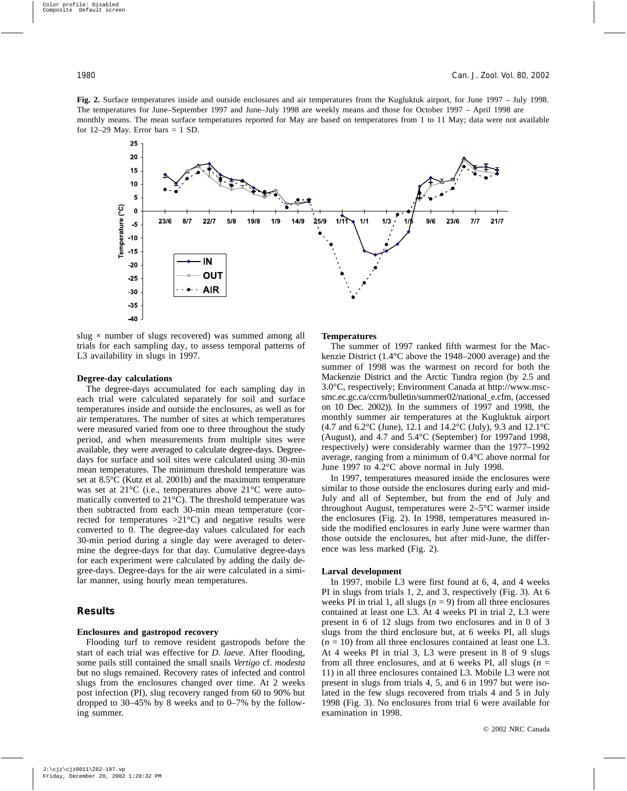**Fig. 2.** Surface temperatures inside and outside enclosures and air temperatures from the Kugluktuk airport, for June 1997 – July 1998. The temperatures for June–September 1997 and June–July 1998 are weekly means and those for October 1997 – April 1998 are monthly means. The mean surface temperatures reported for May are based on temperatures from 1 to 11 May; data were not available for  $12-29$  May. Error bars = 1 SD.



slug  $\times$  number of slugs recovered) was summed among all trials for each sampling day, to assess temporal patterns of L3 availability in slugs in 1997.

#### **Degree-day calculations**

The degree-days accumulated for each sampling day in each trial were calculated separately for soil and surface temperatures inside and outside the enclosures, as well as for air temperatures. The number of sites at which temperatures were measured varied from one to three throughout the study period, and when measurements from multiple sites were available, they were averaged to calculate degree-days. Degreedays for surface and soil sites were calculated using 30-min mean temperatures. The minimum threshold temperature was set at 8.5°C (Kutz et al. 2001b) and the maximum temperature was set at 21°C (i.e., temperatures above 21°C were automatically converted to 21°C). The threshold temperature was then subtracted from each 30-min mean temperature (corrected for temperatures  $>21^{\circ}$ C) and negative results were converted to 0. The degree-day values calculated for each 30-min period during a single day were averaged to determine the degree-days for that day. Cumulative degree-days for each experiment were calculated by adding the daily degree-days. Degree-days for the air were calculated in a similar manner, using hourly mean temperatures.

#### **Results**

#### **Enclosures and gastropod recovery**

Flooding turf to remove resident gastropods before the start of each trial was effective for *D. laeve*. After flooding, some pails still contained the small snails *Vertigo* cf. *modesta* but no slugs remained. Recovery rates of infected and control slugs from the enclosures changed over time. At 2 weeks post infection (PI), slug recovery ranged from 60 to 90% but dropped to 30–45% by 8 weeks and to 0–7% by the following summer.

#### **Temperatures**

The summer of 1997 ranked fifth warmest for the Mackenzie District (1.4°C above the 1948–2000 average) and the summer of 1998 was the warmest on record for both the Mackenzie District and the Arctic Tundra region (by 2.5 and 3.0°C, respectively; Environment Canada at http://www.mscsmc.ec.gc.ca/ccrm/bulletin/summer02/national\_e.cfm, (accessed on 10 Dec. 2002)). In the summers of 1997 and 1998, the monthly summer air temperatures at the Kugluktuk airport (4.7 and 6.2°C (June), 12.1 and 14.2°C (July), 9.3 and 12.1°C (August), and 4.7 and 5.4°C (September) for 1997and 1998, respectively) were considerably warmer than the 1977–1992 average, ranging from a minimum of 0.4°C above normal for June 1997 to 4.2°C above normal in July 1998.

In 1997, temperatures measured inside the enclosures were similar to those outside the enclosures during early and mid-July and all of September, but from the end of July and throughout August, temperatures were 2–5°C warmer inside the enclosures (Fig. 2). In 1998, temperatures measured inside the modified enclosures in early June were warmer than those outside the enclosures, but after mid-June, the difference was less marked (Fig. 2).

#### **Larval development**

In 1997, mobile L3 were first found at 6, 4, and 4 weeks PI in slugs from trials 1, 2, and 3, respectively (Fig. 3). At 6 weeks PI in trial 1, all slugs  $(n = 9)$  from all three enclosures contained at least one L3. At 4 weeks PI in trial 2, L3 were present in 6 of 12 slugs from two enclosures and in 0 of 3 slugs from the third enclosure but, at 6 weeks PI, all slugs  $(n = 10)$  from all three enclosures contained at least one L3. At 4 weeks PI in trial 3, L3 were present in 8 of 9 slugs from all three enclosures, and at 6 weeks PI, all slugs  $(n =$ 11) in all three enclosures contained L3. Mobile L3 were not present in slugs from trials 4, 5, and 6 in 1997 but were isolated in the few slugs recovered from trials 4 and 5 in July 1998 (Fig. 3). No enclosures from trial 6 were available for examination in 1998.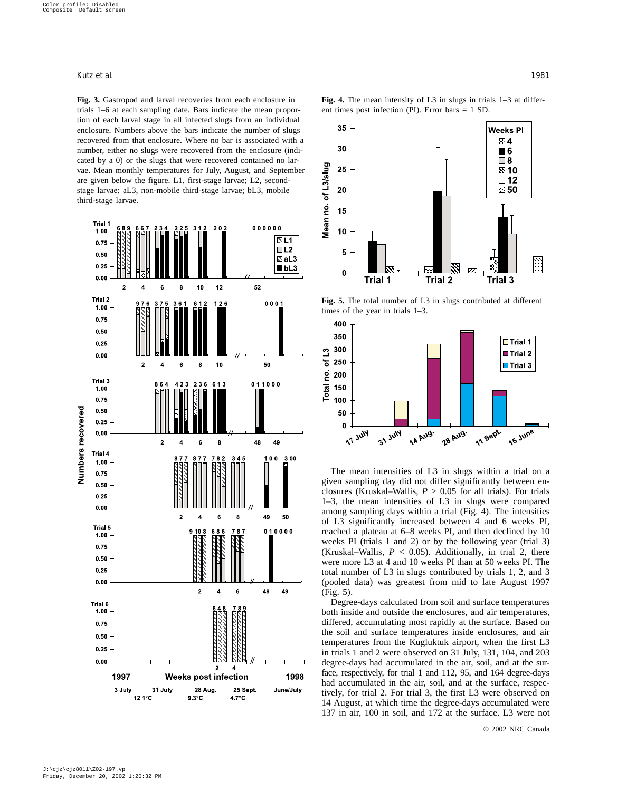**Fig. 3.** Gastropod and larval recoveries from each enclosure in trials 1–6 at each sampling date. Bars indicate the mean proportion of each larval stage in all infected slugs from an individual enclosure. Numbers above the bars indicate the number of slugs recovered from that enclosure. Where no bar is associated with a number, either no slugs were recovered from the enclosure (indicated by a 0) or the slugs that were recovered contained no larvae. Mean monthly temperatures for July, August, and September are given below the figure. L1, first-stage larvae; L2, secondstage larvae; aL3, non-mobile third-stage larvae; bL3, mobile third-stage larvae.



**Fig. 4.** The mean intensity of L3 in slugs in trials 1–3 at different times post infection (PI). Error bars = 1 SD.



**Fig. 5.** The total number of L3 in slugs contributed at different times of the year in trials 1–3.



The mean intensities of L3 in slugs within a trial on a given sampling day did not differ significantly between enclosures (Kruskal–Wallis, *P* > 0.05 for all trials). For trials 1–3, the mean intensities of L3 in slugs were compared among sampling days within a trial (Fig. 4). The intensities of L3 significantly increased between 4 and 6 weeks PI, reached a plateau at 6–8 weeks PI, and then declined by 10 weeks PI (trials 1 and 2) or by the following year (trial 3) (Kruskal–Wallis,  $P < 0.05$ ). Additionally, in trial 2, there were more L3 at 4 and 10 weeks PI than at 50 weeks PI. The total number of L3 in slugs contributed by trials 1, 2, and 3 (pooled data) was greatest from mid to late August 1997 (Fig. 5).

Degree-days calculated from soil and surface temperatures both inside and outside the enclosures, and air temperatures, differed, accumulating most rapidly at the surface. Based on the soil and surface temperatures inside enclosures, and air temperatures from the Kugluktuk airport, when the first L3 in trials 1 and 2 were observed on 31 July, 131, 104, and 203 degree-days had accumulated in the air, soil, and at the surface, respectively, for trial 1 and 112, 95, and 164 degree-days had accumulated in the air, soil, and at the surface, respectively, for trial 2. For trial 3, the first L3 were observed on 14 August, at which time the degree-days accumulated were 137 in air, 100 in soil, and 172 at the surface. L3 were not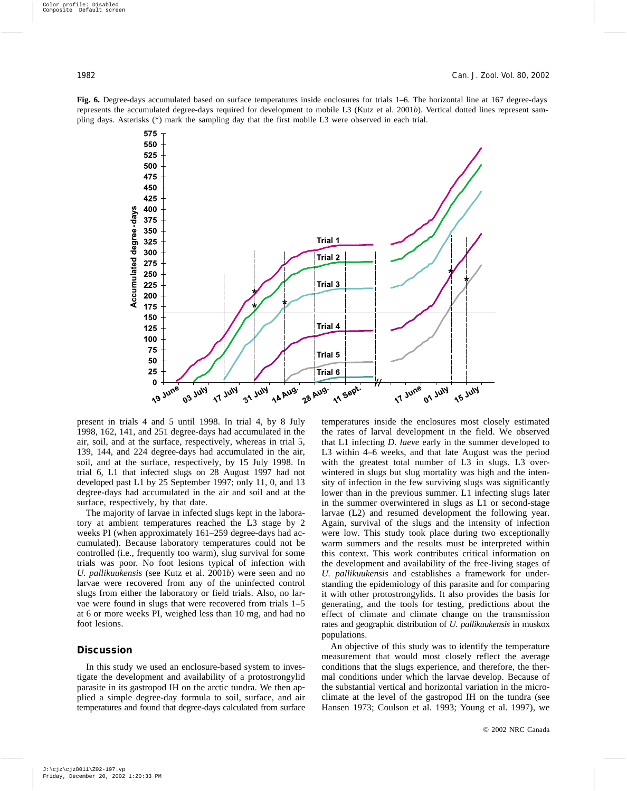**Fig. 6.** Degree-days accumulated based on surface temperatures inside enclosures for trials 1–6. The horizontal line at 167 degree-days represents the accumulated degree-days required for development to mobile L3 (Kutz et al. 2001*b*). Vertical dotted lines represent sampling days. Asterisks (\*) mark the sampling day that the first mobile L3 were observed in each trial.



present in trials 4 and 5 until 1998. In trial 4, by 8 July 1998, 162, 141, and 251 degree-days had accumulated in the air, soil, and at the surface, respectively, whereas in trial 5, 139, 144, and 224 degree-days had accumulated in the air, soil, and at the surface, respectively, by 15 July 1998. In trial 6, L1 that infected slugs on 28 August 1997 had not developed past L1 by 25 September 1997; only 11, 0, and 13 degree-days had accumulated in the air and soil and at the surface, respectively, by that date.

The majority of larvae in infected slugs kept in the laboratory at ambient temperatures reached the L3 stage by 2 weeks PI (when approximately 161–259 degree-days had accumulated). Because laboratory temperatures could not be controlled (i.e., frequently too warm), slug survival for some trials was poor. No foot lesions typical of infection with *U. pallikuukensis* (see Kutz et al. 2001*b*) were seen and no larvae were recovered from any of the uninfected control slugs from either the laboratory or field trials. Also, no larvae were found in slugs that were recovered from trials 1–5 at 6 or more weeks PI, weighed less than 10 mg, and had no foot lesions.

#### **Discussion**

In this study we used an enclosure-based system to investigate the development and availability of a protostrongylid parasite in its gastropod IH on the arctic tundra. We then applied a simple degree-day formula to soil, surface, and air temperatures and found that degree-days calculated from surface temperatures inside the enclosures most closely estimated the rates of larval development in the field. We observed that L1 infecting *D. laeve* early in the summer developed to L3 within 4–6 weeks, and that late August was the period with the greatest total number of L3 in slugs. L3 overwintered in slugs but slug mortality was high and the intensity of infection in the few surviving slugs was significantly lower than in the previous summer. L1 infecting slugs later in the summer overwintered in slugs as L1 or second-stage larvae (L2) and resumed development the following year. Again, survival of the slugs and the intensity of infection were low. This study took place during two exceptionally warm summers and the results must be interpreted within this context. This work contributes critical information on the development and availability of the free-living stages of *U. pallikuukensis* and establishes a framework for understanding the epidemiology of this parasite and for comparing it with other protostrongylids. It also provides the basis for generating, and the tools for testing, predictions about the effect of climate and climate change on the transmission rates and geographic distribution of *U. pallikuukensis* in muskox populations.

An objective of this study was to identify the temperature measurement that would most closely reflect the average conditions that the slugs experience, and therefore, the thermal conditions under which the larvae develop. Because of the substantial vertical and horizontal variation in the microclimate at the level of the gastropod IH on the tundra (see Hansen 1973; Coulson et al. 1993; Young et al. 1997), we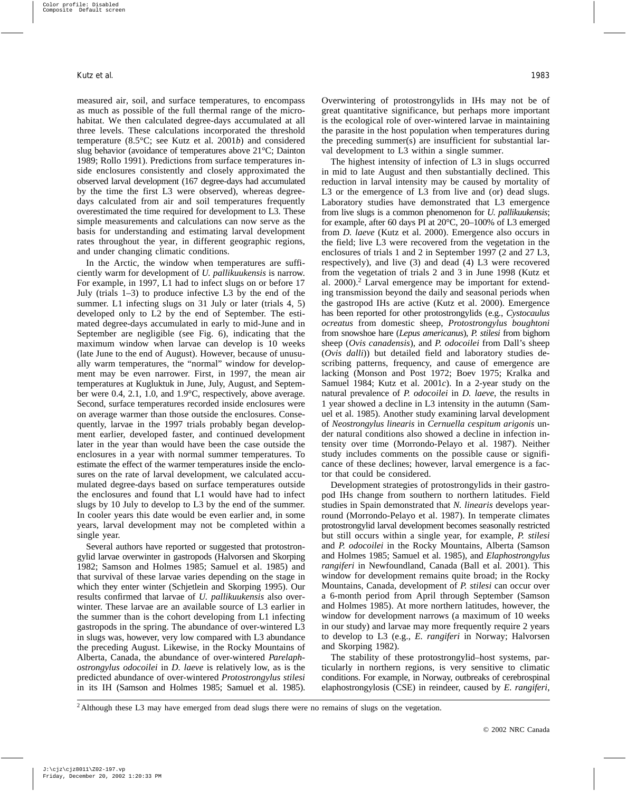measured air, soil, and surface temperatures, to encompass as much as possible of the full thermal range of the microhabitat. We then calculated degree-days accumulated at all three levels. These calculations incorporated the threshold temperature (8.5°C; see Kutz et al. 2001*b*) and considered slug behavior (avoidance of temperatures above 21°C; Dainton 1989; Rollo 1991). Predictions from surface temperatures inside enclosures consistently and closely approximated the observed larval development (167 degree-days had accumulated by the time the first L3 were observed), whereas degreedays calculated from air and soil temperatures frequently overestimated the time required for development to L3. These simple measurements and calculations can now serve as the basis for understanding and estimating larval development rates throughout the year, in different geographic regions, and under changing climatic conditions.

In the Arctic, the window when temperatures are sufficiently warm for development of *U. pallikuukensis* is narrow. For example, in 1997, L1 had to infect slugs on or before 17 July (trials 1–3) to produce infective L3 by the end of the summer. L1 infecting slugs on 31 July or later (trials 4, 5) developed only to L2 by the end of September. The estimated degree-days accumulated in early to mid-June and in September are negligible (see Fig. 6), indicating that the maximum window when larvae can develop is 10 weeks (late June to the end of August). However, because of unusually warm temperatures, the "normal" window for development may be even narrower. First, in 1997, the mean air temperatures at Kugluktuk in June, July, August, and September were 0.4, 2.1, 1.0, and 1.9°C, respectively, above average. Second, surface temperatures recorded inside enclosures were on average warmer than those outside the enclosures. Consequently, larvae in the 1997 trials probably began development earlier, developed faster, and continued development later in the year than would have been the case outside the enclosures in a year with normal summer temperatures. To estimate the effect of the warmer temperatures inside the enclosures on the rate of larval development, we calculated accumulated degree-days based on surface temperatures outside the enclosures and found that L1 would have had to infect slugs by 10 July to develop to L3 by the end of the summer. In cooler years this date would be even earlier and, in some years, larval development may not be completed within a single year.

Several authors have reported or suggested that protostrongylid larvae overwinter in gastropods (Halvorsen and Skorping 1982; Samson and Holmes 1985; Samuel et al. 1985) and that survival of these larvae varies depending on the stage in which they enter winter (Schjetlein and Skorping 1995). Our results confirmed that larvae of *U. pallikuukensis* also overwinter. These larvae are an available source of L3 earlier in the summer than is the cohort developing from L1 infecting gastropods in the spring. The abundance of over-wintered L3 in slugs was, however, very low compared with L3 abundance the preceding August. Likewise, in the Rocky Mountains of Alberta, Canada, the abundance of over-wintered *Parelaphostrongylus odocoilei* in *D. laeve* is relatively low, as is the predicted abundance of over-wintered *Protostrongylus stilesi* in its IH (Samson and Holmes 1985; Samuel et al. 1985). Overwintering of protostrongylids in IHs may not be of great quantitative significance, but perhaps more important is the ecological role of over-wintered larvae in maintaining the parasite in the host population when temperatures during the preceding summer(s) are insufficient for substantial larval development to L3 within a single summer.

The highest intensity of infection of L3 in slugs occurred in mid to late August and then substantially declined. This reduction in larval intensity may be caused by mortality of L3 or the emergence of L3 from live and (or) dead slugs. Laboratory studies have demonstrated that L3 emergence from live slugs is a common phenomenon for *U. pallikuukensis*; for example, after 60 days PI at 20°C, 20–100% of L3 emerged from *D. laeve* (Kutz et al. 2000). Emergence also occurs in the field; live L3 were recovered from the vegetation in the enclosures of trials 1 and 2 in September 1997 (2 and 27 L3, respectively), and live (3) and dead (4) L3 were recovered from the vegetation of trials 2 and 3 in June 1998 (Kutz et al.  $2000$ ).<sup>2</sup> Larval emergence may be important for extending transmission beyond the daily and seasonal periods when the gastropod IHs are active (Kutz et al. 2000). Emergence has been reported for other protostrongylids (e.g., *Cystocaulus ocreatus* from domestic sheep, *Protostrongylus boughtoni* from snowshoe hare (*Lepus americanus*), *P. stilesi* from bighorn sheep (*Ovis canadensis*), and *P. odocoilei* from Dall's sheep (*Ovis dalli*)) but detailed field and laboratory studies describing patterns, frequency, and cause of emergence are lacking (Monson and Post 1972; Boev 1975; Kralka and Samuel 1984; Kutz et al. 2001*c*). In a 2-year study on the natural prevalence of *P. odocoilei* in *D. laeve*, the results in 1 year showed a decline in L3 intensity in the autumn (Samuel et al. 1985). Another study examining larval development of *Neostrongylus linearis* in *Cernuella cespitum arigonis* under natural conditions also showed a decline in infection intensity over time (Morrondo-Pelayo et al. 1987). Neither study includes comments on the possible cause or significance of these declines; however, larval emergence is a factor that could be considered.

Development strategies of protostrongylids in their gastropod IHs change from southern to northern latitudes. Field studies in Spain demonstrated that *N. linearis* develops yearround (Morrondo-Pelayo et al. 1987). In temperate climates protostrongylid larval development becomes seasonally restricted but still occurs within a single year, for example, *P. stilesi* and *P. odocoilei* in the Rocky Mountains, Alberta (Samson and Holmes 1985; Samuel et al. 1985), and *Elaphostrongylus rangiferi* in Newfoundland, Canada (Ball et al. 2001). This window for development remains quite broad; in the Rocky Mountains, Canada, development of *P. stilesi* can occur over a 6-month period from April through September (Samson and Holmes 1985). At more northern latitudes, however, the window for development narrows (a maximum of 10 weeks in our study) and larvae may more frequently require 2 years to develop to L3 (e.g., *E. rangiferi* in Norway; Halvorsen and Skorping 1982).

The stability of these protostrongylid–host systems, particularly in northern regions, is very sensitive to climatic conditions. For example, in Norway, outbreaks of cerebrospinal elaphostrongylosis (CSE) in reindeer, caused by *E. rangiferi*,

<sup>2</sup> Although these L3 may have emerged from dead slugs there were no remains of slugs on the vegetation.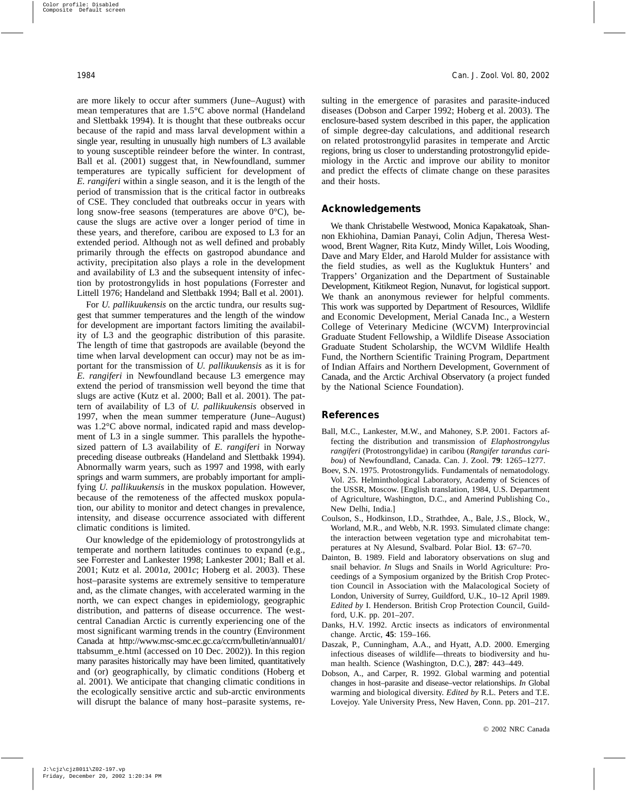are more likely to occur after summers (June–August) with mean temperatures that are 1.5°C above normal (Handeland and Slettbakk 1994). It is thought that these outbreaks occur because of the rapid and mass larval development within a single year, resulting in unusually high numbers of L3 available to young susceptible reindeer before the winter. In contrast, Ball et al. (2001) suggest that, in Newfoundland, summer temperatures are typically sufficient for development of *E. rangiferi* within a single season, and it is the length of the period of transmission that is the critical factor in outbreaks of CSE. They concluded that outbreaks occur in years with long snow-free seasons (temperatures are above  $0^{\circ}$ C), because the slugs are active over a longer period of time in these years, and therefore, caribou are exposed to L3 for an extended period. Although not as well defined and probably primarily through the effects on gastropod abundance and activity, precipitation also plays a role in the development and availability of L3 and the subsequent intensity of infection by protostrongylids in host populations (Forrester and Littell 1976; Handeland and Slettbakk 1994; Ball et al. 2001).

For *U. pallikuukensis* on the arctic tundra, our results suggest that summer temperatures and the length of the window for development are important factors limiting the availability of L3 and the geographic distribution of this parasite. The length of time that gastropods are available (beyond the time when larval development can occur) may not be as important for the transmission of *U. pallikuukensis* as it is for *E. rangiferi* in Newfoundland because L3 emergence may extend the period of transmission well beyond the time that slugs are active (Kutz et al. 2000; Ball et al. 2001). The pattern of availability of L3 of *U. pallikuukensis* observed in 1997, when the mean summer temperature (June–August) was 1.2°C above normal, indicated rapid and mass development of L3 in a single summer. This parallels the hypothesized pattern of L3 availability of *E. rangiferi* in Norway preceding disease outbreaks (Handeland and Slettbakk 1994). Abnormally warm years, such as 1997 and 1998, with early springs and warm summers, are probably important for amplifying *U. pallikuukensis* in the muskox population. However, because of the remoteness of the affected muskox population, our ability to monitor and detect changes in prevalence, intensity, and disease occurrence associated with different climatic conditions is limited.

Our knowledge of the epidemiology of protostrongylids at temperate and northern latitudes continues to expand (e.g., see Forrester and Lankester 1998; Lankester 2001; Ball et al. 2001; Kutz et al. 2001*a*, 2001*c*; Hoberg et al. 2003). These host–parasite systems are extremely sensitive to temperature and, as the climate changes, with accelerated warming in the north, we can expect changes in epidemiology, geographic distribution, and patterns of disease occurrence. The westcentral Canadian Arctic is currently experiencing one of the most significant warming trends in the country (Environment Canada at http://www.msc-smc.ec.gc.ca/ccrm/bulletin/annual01/ ttabsumm\_e.html (accessed on 10 Dec. 2002)). In this region many parasites historically may have been limited, quantitatively and (or) geographically, by climatic conditions (Hoberg et al. 2001). We anticipate that changing climatic conditions in the ecologically sensitive arctic and sub-arctic environments will disrupt the balance of many host–parasite systems, resulting in the emergence of parasites and parasite-induced diseases (Dobson and Carper 1992; Hoberg et al. 2003). The enclosure-based system described in this paper, the application of simple degree-day calculations, and additional research on related protostrongylid parasites in temperate and Arctic regions, bring us closer to understanding protostrongylid epidemiology in the Arctic and improve our ability to monitor and predict the effects of climate change on these parasites and their hosts.

#### **Acknowledgements**

We thank Christabelle Westwood, Monica Kapakatoak, Shannon Ekhiohina, Damian Panayi, Colin Adjun, Theresa Westwood, Brent Wagner, Rita Kutz, Mindy Willet, Lois Wooding, Dave and Mary Elder, and Harold Mulder for assistance with the field studies, as well as the Kugluktuk Hunters' and Trappers' Organization and the Department of Sustainable Development, Kitikmeot Region, Nunavut, for logistical support. We thank an anonymous reviewer for helpful comments. This work was supported by Department of Resources, Wildlife and Economic Development, Merial Canada Inc., a Western College of Veterinary Medicine (WCVM) Interprovincial Graduate Student Fellowship, a Wildlife Disease Association Graduate Student Scholarship, the WCVM Wildlife Health Fund, the Northern Scientific Training Program, Department of Indian Affairs and Northern Development, Government of Canada, and the Arctic Archival Observatory (a project funded by the National Science Foundation).

#### **References**

- Ball, M.C., Lankester, M.W., and Mahoney, S.P. 2001. Factors affecting the distribution and transmission of *Elaphostrongylus rangiferi* (Protostrongylidae) in caribou (*Rangifer tarandus caribou*) of Newfoundland, Canada. Can. J. Zool. **79**: 1265–1277.
- Boev, S.N. 1975. Protostrongylids. Fundamentals of nematodology. Vol. 25. Helminthological Laboratory, Academy of Sciences of the USSR, Moscow. [English translation, 1984, U.S. Department of Agriculture, Washington, D.C., and Amerind Publishing Co., New Delhi, India.]
- Coulson, S., Hodkinson, I.D., Strathdee, A., Bale, J.S., Block, W., Worland, M.R., and Webb, N.R. 1993. Simulated climate change: the interaction between vegetation type and microhabitat temperatures at Ny Alesund, Svalbard. Polar Biol. **13**: 67–70.
- Dainton, B. 1989. Field and laboratory observations on slug and snail behavior. *In* Slugs and Snails in World Agriculture: Proceedings of a Symposium organized by the British Crop Protection Council in Association with the Malacological Society of London, University of Surrey, Guildford, U.K., 10–12 April 1989. *Edited by* I. Henderson. British Crop Protection Council, Guildford, U.K. pp. 201–207.
- Danks, H.V. 1992. Arctic insects as indicators of environmental change. Arctic, **45**: 159–166.
- Daszak, P., Cunningham, A.A., and Hyatt, A.D. 2000. Emerging infectious diseases of wildlife—threats to biodiversity and human health. Science (Washington, D.C.), **287**: 443–449.
- Dobson, A., and Carper, R. 1992. Global warming and potential changes in host–parasite and disease–vector relationships. *In* Global warming and biological diversity. *Edited by* R.L. Peters and T.E. Lovejoy. Yale University Press, New Haven, Conn. pp. 201–217.